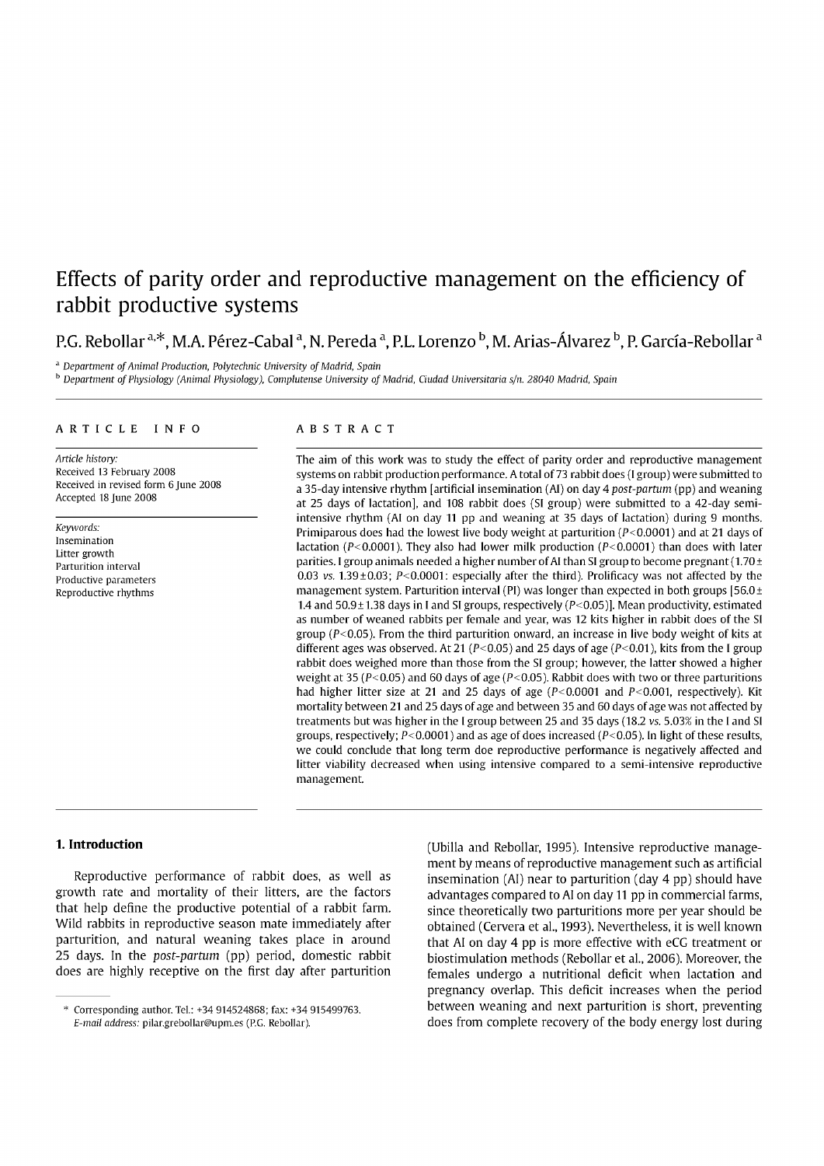# Effects of parity order and reproductive management on the efficiency of rabbit productive systems

## P.G. Rebollar <sup>a. $*$ </sup>, M.A. Pérez-Cabal <sup>a</sup>, N. Pereda <sup>a</sup>, P.L. Lorenzo <sup>b</sup>, M. Arias-Álvarez <sup>b</sup>, P. García-Rebollar <sup>a</sup>

<sup>a</sup> Department of Animal Production, Polytechnic University of Madrid, Spain

<sup>b</sup> Department of Physiology (Animal Physiology), Complutense University of Madrid, Ciudad Universitaria s/n. 28040 Madrid, Spain

#### ARTICLE INFO

*Anide history:*  Received 13 February 2008 Received in revised form 6 June 2008 Accepted 18 June 2008

*Keywords:*  Insemination Litter growth Parturition interva] Productive parameters Reproductive rhythms

## ABSTRAC T

The aim of this work was to study the effect of parity order and reproductive management systems on rabbit production performance. A total of 73 rabbit does (I group) were submitted to a 35-day intensive rhythm [artificial insemination (AI) on day 4 *post-partum* (pp) and weaning at 25 days of lactation], and 108 rabbit does (SI group) were submitted to a 42-day semiintensive rhythm (AI on day 11 pp and weaning at 35 days of lactation) during 9 months. Primiparous does had the lowest live body weight at parturition (P<0.0001) and at 21 days of lactation ( $P < 0.0001$ ). They also had lower milk production ( $P < 0.0001$ ) than does with later parities. I group animals needed a higher number of AI than SI group to become pregnant (1.70  $\pm$ 0.03 vs. 1.39 $\pm$ 0.03; P<0.0001: especially after the third). Prolificacy was not affected by the management system. Parturition interval (PI) was longer than expected in both groups [56.0 $\pm$ 1.4 and  $50.9 \pm 1.38$  days in I and SI groups, respectively ( $P < 0.05$ )]. Mean productivity, estimated as number of weaned rabbits per female and year, was 12 kits higher in rabbit does of the SI group ( $P < 0.05$ ). From the third parturition onward, an increase in live body weight of kits at different ages was observed. At 21 ( $P<0.05$ ) and 25 days of age ( $P<0.01$ ), kits from the I group rabbit does weighed more than those from the SI group; however, the latter showed a higher weight at 35 ( $P < 0.05$ ) and 60 days of age ( $P < 0.05$ ). Rabbit does with two or three parturitions had higher litter size at 21 and 25 days of age  $(P<0.0001$  and  $P<0.001$ , respectively). Kit mortality between 21 and 25 days of age and between 35 and 60 days of age was not affected by treatments but was higher in the I group between 25 and 35 days (18.2 vs. 5.03% in the I and SI groups, respectively;  $P < 0.0001$ ) and as age of does increased ( $P < 0.05$ ). In light of these results, we could conclude that long term doe reproductive performance is negatively affected and litter viability decreased when using intensive compared to a semi-intensive reproductive management.

## **1. Introduction**

Reproductive performance of rabbit does, as well as growth rate and mortality of their litters, are the factors that help define the productive potential of a rabbit farm. Wild rabbits in reproductive season mate immediately after parturition, and natural weaning takes place in around 25 days. In the *post-partum* (pp) period, domestic rabbit does are highly receptive on the first day after parturition (Ubilla and Rebollar, 1995). Intensive reproductive management by means of reproductive management such as artificial insemination (AI) near to parturition (day 4 pp) should have advantages compared to AI on day 11 pp in commercial farms, since theoretically two parturitions more per year should be obtained (Cervera et al, 1993). Nevertheless, it is well known that AI on day 4 pp is more effective with eCG treatment or biostimulation methods (Rebollar et al., 2006). Moreover, the females undergo a nutritional déficit when lactation and pregnancy overlap. This déficit increases when the period between weaning and next parturition is short, preventing does from complete recovery of the body energy lost during

Corresponding author. Tel.: +34 914524868; fax: +34 915499763. *E-mail address:* [pilar.grebollar@upm.es \(](mailto:pilar.grebollar@upm.es)P.G. Rebollar).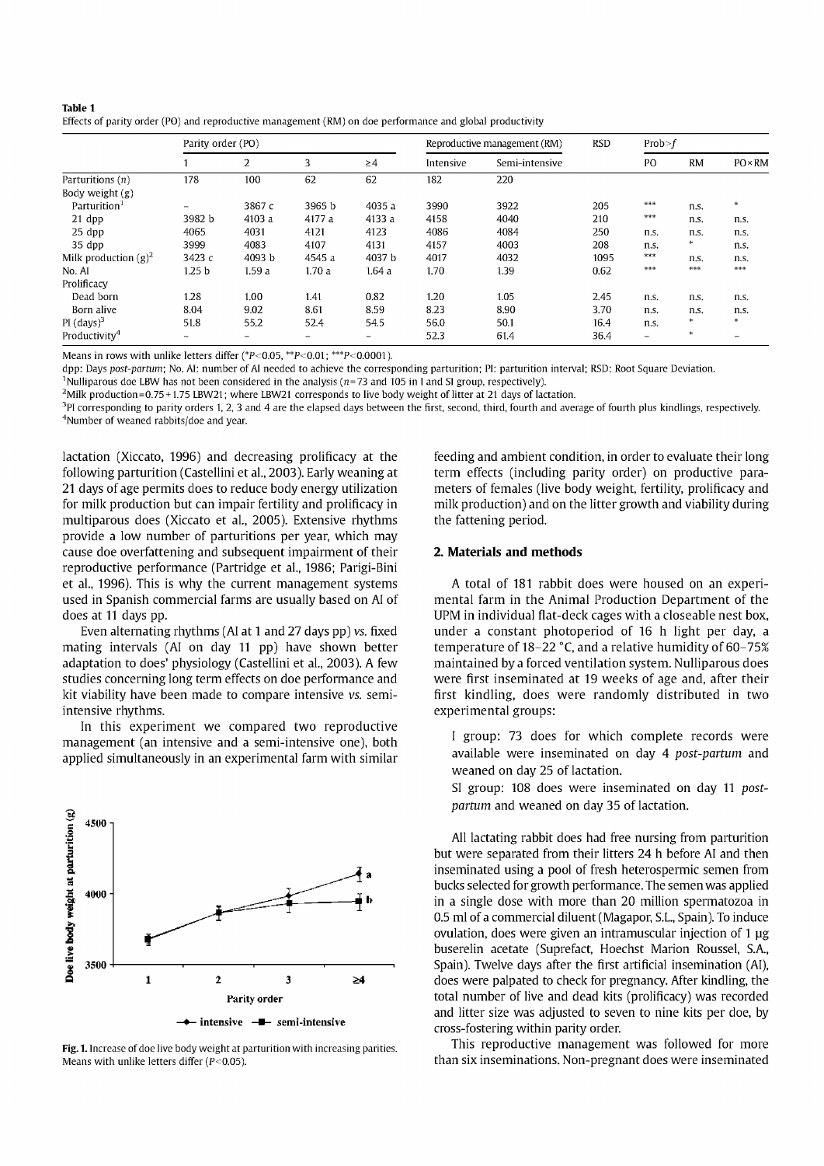| Table 1                                                                                                  |  |
|----------------------------------------------------------------------------------------------------------|--|
| Effects of parity order (PO) and reproductive management (RM) on doe performance and global productivity |  |

|                           | Parity order (PO)        |        |        |                          | Reproductive management (RM) |                | <b>RSD</b> | Prob > f                 |           |                |
|---------------------------|--------------------------|--------|--------|--------------------------|------------------------------|----------------|------------|--------------------------|-----------|----------------|
|                           |                          | 2      | 3      | $\geq$ 4                 | Intensive                    | Semi-intensive |            | PO                       | <b>RM</b> | $PO \times RM$ |
| Parturitions $(n)$        | 178                      | 100    | 62     | 62                       | 182                          | 220            |            |                          |           |                |
| Body weight $(g)$         |                          |        |        |                          |                              |                |            |                          |           |                |
| Parturition <sup>1</sup>  | $\overline{\phantom{0}}$ | 3867 c | 3965 b | 4035 a                   | 3990                         | 3922           | 205        | ***                      | n.s.      | 米              |
| 21 dpp                    | 3982 b                   | 4103 a | 4177 a | 4133 a                   | 4158                         | 4040           | 210        | ***                      | n.s.      | n.s.           |
| $25$ dpp                  | 4065                     | 4031   | 4121   | 4123                     | 4086                         | 4084           | 250        | n.s.                     | n.s.      | n.s.           |
| 35 dpp                    | 3999                     | 4083   | 4107   | 4131                     | 4157                         | 4003           | 208        | n.s.                     | *         | n.s.           |
| Milk production $(g)^2$   | 3423 с                   | 4093 b | 4545 a | 4037 b                   | 4017                         | 4032           | 1095       | ***                      | n.s.      | n.s.           |
| No. AI                    | 1.25 <sub>b</sub>        | 1.59a  | 1.70a  | 1.64a                    | 1.70                         | 1.39           | 0.62       | 李宗宗                      | 李宗宗       | ***            |
| Prolificacy               |                          |        |        |                          |                              |                |            |                          |           |                |
| Dead born                 | 1.28                     | 1.00   | 1.41   | 0.82                     | 1.20                         | 1.05           | 2.45       | n.s.                     | n.s.      | n.s.           |
| Born alive                | 8.04                     | 9.02   | 8.61   | 8.59                     | 8.23                         | 8.90           | 3.70       | n.s.                     | n.s.      | n.s.           |
| $PI$ (days) <sup>3</sup>  | 51.8                     | 55.2   | 52.4   | 54.5                     | 56.0                         | 50.1           | 16.4       | n.s.                     | 喇         | dje.           |
| Productivity <sup>4</sup> | -                        | -      | Ξ.     | $\overline{\phantom{0}}$ | 52.3                         | 61.4           | 36.4       | $\overline{\phantom{0}}$ | 咪         | -              |

Means in rows with unlike letters differ (\* $P$ <0.05, \*\* $P$ <0.01; \*\*\* $P$ <0.0001).

dpp: Days *post-partum;* No. Al: number of Al needed to achieve the corresponding parturition; Pl: parturition interval; RSD: Root Square Deviation.

<sup>1</sup>Nulliparous doe LBW has not been considered in the analysis ( $n=73$  and 105 in I and SI group, respectively).

 $2$ Milk production=0.75 + 1.75 LBW21; where LBW21 corresponds to live body weight of litter at 21 days of lactation.

<sup>3</sup>PI corresponding to parity orders 1, 2, 3 and 4 are the elapsed days between the first, second, third, fourth and average of fourth plus kindlings, respectively. <sup>4</sup>Number of weaned rabbits/doe and year.

lactation (Xiccato, 1996) and decreasing prolificacy at the following parturition (Castellini et al, 2003). Early weaning at 21 days of age permits does to reduce body energy utilization for milk production but can impair fertility and prolificacy in multiparous does (Xiccato et al., 2005). Extensive rhythms provide a low number of parturitions per year, which may cause doe overfattening and subsequent impairment of their reproductive performance (Partridge et al, 1986; Parigi-Bini et al, 1996). This is why the current management systems used in Spanish commercial farms are usually based on AI of does at 11 days pp.

Even altemating rhythms (AI at 1 and 27 days pp) vs. fixed mating intervals (AI on day 11 pp) have shown better adaptation to does' physiology (Castellini et al, 2003). A few studies concerning long term effects on doe performance and kit viability have been made to compare intensive vs. semiintensive rhythms.

In this experiment we compared two reproductive management (an intensive and a semi-intensive one), both applied simultaneously in an experimental farm with similar



Fig. 1. Increase of doe live body weight at parturition with increasing parities. Means with unlike letters differ  $(P<0.05)$ .

feeding and ambient condition, in order to evaluate their long term effects (including parity order) on productive parameters of females (live body weight, fertility, prolificacy and milk production) and on the litter growth and viability during the fattening period.

#### **2. Materials and methods**

A total of 181 rabbit does were housed on an experimental farm in the Animal Production Department of the UPM in individual flat-deck cages with a closeable nest box, under a constant photoperiod of 16 h light per day, a temperature of 18-22 °C, and a relative humidity of 60-75% maintained by a forced ventilation system. Nulliparous does were first inseminated at 19 weeks of age and, after their first kindling, does were randomly distributed in two experimental groups:

I group: 73 does for which complete records were available were inseminated on day 4 *post-partum* and weaned on day 25 of lactation.

SI group: 108 does were inseminated on day 11 *postpartum* and weaned on day 35 of lactation.

All lactating rabbit does had free nursing from parturition but were separated from their litters 24 h before AI and then inseminated using a pool of fresh heterospermic semen from bucks selected for growth performance. The semen was applied in a single dose with more than 20 million spermatozoa in 0.5 mi of a commercial diluent (Magapor, S.L., Spain). To induce ovulation, does were given an intramuscular injection of 1 ug buserelin acetate (Suprefact, Hoechst Marion Roussel, S.A., Spain). Twelve days after the first artificial insemination (AI), does were palpated to check for pregnancy. After kindling, the total number of live and dead kits (prolificacy) was recorded and litter size was adjusted to seven to nine kits per doe, by cross-fostering within parity order.

This reproductive management was followed for more than six inseminations. Non-pregnant does were inseminated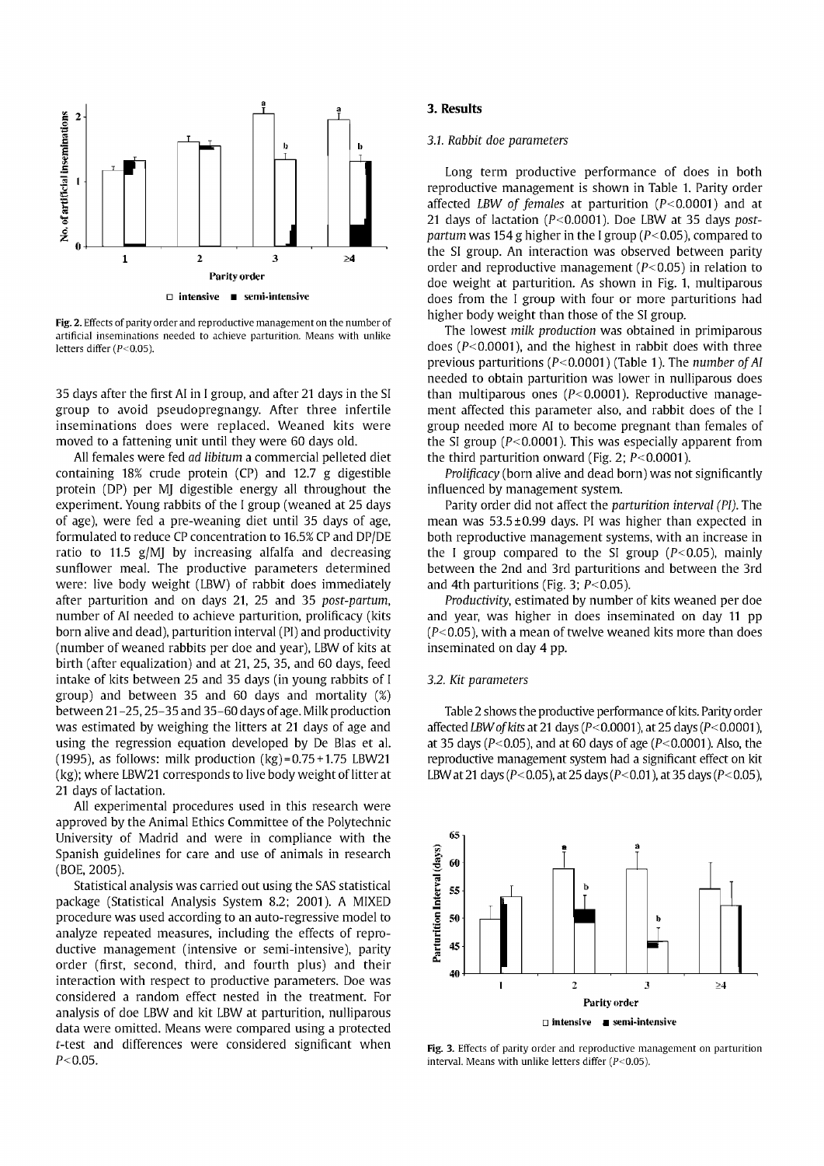

Fig. 2. Effects of parity order and reproductive management on the number of artificial inseminations needed to achieve parturition. Means with unlike letters differ (P<0.05).

35 days after the first AI in I group, and after 21 days in the SI group to avoid pseudopregnangy. After three infertile inseminations does were replaced. Weaned kits were moved to a fattening unit until they were 60 days old.

All females were fed *ad libitum* a commercial pelleted diet containing 18% crude protein (CP) and 12.7 g digestible protein (DP) per MJ digestible energy all throughout the experiment. Young rabbits of the I group (weaned at 25 days of age), were fed a pre-weaning diet until 35 days of age, formulated to reduce CP concentration to 16.5% CP and DP/DE ratio to 11.5 g/MJ by increasing alfalfa and decreasing sunflower meal. The productive parameters determined were: live body weight (LBW) of rabbit does immediately after parturition and on days 21, 25 and 35 *post-partum,*  number of AI needed to achieve parturition, prolificacy (kits born alive and dead), parturition interval (PI) and productivity (number of weaned rabbits per doe and year), LBW of kits at birth (after equalization) and at 21, 25, 35, and 60 days, feed intake of kits between 25 and 35 days (in young rabbits of I group) and between 35 and 60 days and mortality (%) between 21 -25,25-35 and 35-60 days of age. Milk production was estimated by weighing the litters at 21 days of age and using the regression equation developed by De Blas et al. (1995), as follows: milk production  $(kg) = 0.75 + 1.75$  LBW21 (kg); where LBW21 corresponds to live body weight of litter at 21 days of lactation.

All experimental procedures used in this research were approved by the Animal Ethics Committee of the Polytechnic University of Madrid and were in compliance with the Spanish guidelines for care and use of animals in research (BOE, 2005).

Statistical analysis was carried out using the SAS statistical package (Statistical Analysis System 8.2; 2001). A MIXED procedure was used according to an auto-regressive model to analyze repeated measures, including the effects of reproductive management (intensive or semi-intensive), parity order (first, second, third, and fourth plus) and their interaction with respect to productive parameters. Doe was considered a random effect nested in the treatment. For analysis of doe LBW and kit LBW at parturition, nulliparous data were omitted. Means were compared using a protected t-test and differences were considered significant when  $P < 0.05$ .

#### **3. Results**

#### *3.Í. Rabbit doe parameters*

Long term productive performance of does in both reproductive management is shown in Table 1. Parity order affected *LBW of females* at parturition (P< 0.0001) and at 21 days of lactation (P<0.0001). Doe LBW at 35 days *postpartum* was 154 g higher in the I group (P<0.05), compared to the SI group. An interaction was observed between parity order and reproductive management ( $P < 0.05$ ) in relation to doe weight at parturition. As shown in Fig. 1, multiparous does from the I group with four or more parturitions had higher body weight than those of the SI group.

The lowest *milk production* was obtained in primiparous does ( $P < 0.0001$ ), and the highest in rabbit does with three previous parturitions (P<0.0001) (Table 1). The *number of AI* needed to obtain parturition was lower in nulliparous does than multiparous ones  $(P< 0.0001)$ . Reproductive management affected this parameter also, and rabbit does of the I group needed more AI to become pregnant than females of the SI group ( $P < 0.0001$ ). This was especially apparent from the third parturition onward (Fig. 2;  $P < 0.0001$ ).

*Prolificacy* (born alive and dead born) was not significantly influenced by management system.

Parity order did not affect the *parturition interval (PI).* The mean was 53.5 ±0.99 days. PI was higher than expected in both reproductive management systems, with an increase in the I group compared to the SI group  $(P<0.05)$ , mainly between the 2nd and 3rd parturitions and between the 3rd and 4th parturitions (Fig. 3;  $P < 0.05$ ).

*Productivity,* estimated by number of kits weaned per doe and year, was higher in does inseminated on day 11 pp  $(P<0.05)$ , with a mean of twelve weaned kits more than does inseminated on day 4 pp.

## *3.2. Kit parameters*

Table 2 shows the productive performance of kits. Parity order affected *LBW of kits* at 21 days (P< 0.0001), at 25 days (P< 0.0001), at 35 days ( $P < 0.05$ ), and at 60 days of age ( $P < 0.0001$ ). Also, the reproductive management system had a significant effect on kit LBW at 21 days ( $P < 0.05$ ), at 25 days ( $P < 0.01$ ), at 35 days ( $P < 0.05$ ),



Fig. 3. Effects of parity order and reproductive management on parturition interval. Means with unlike letters differ  $(P<0.05)$ .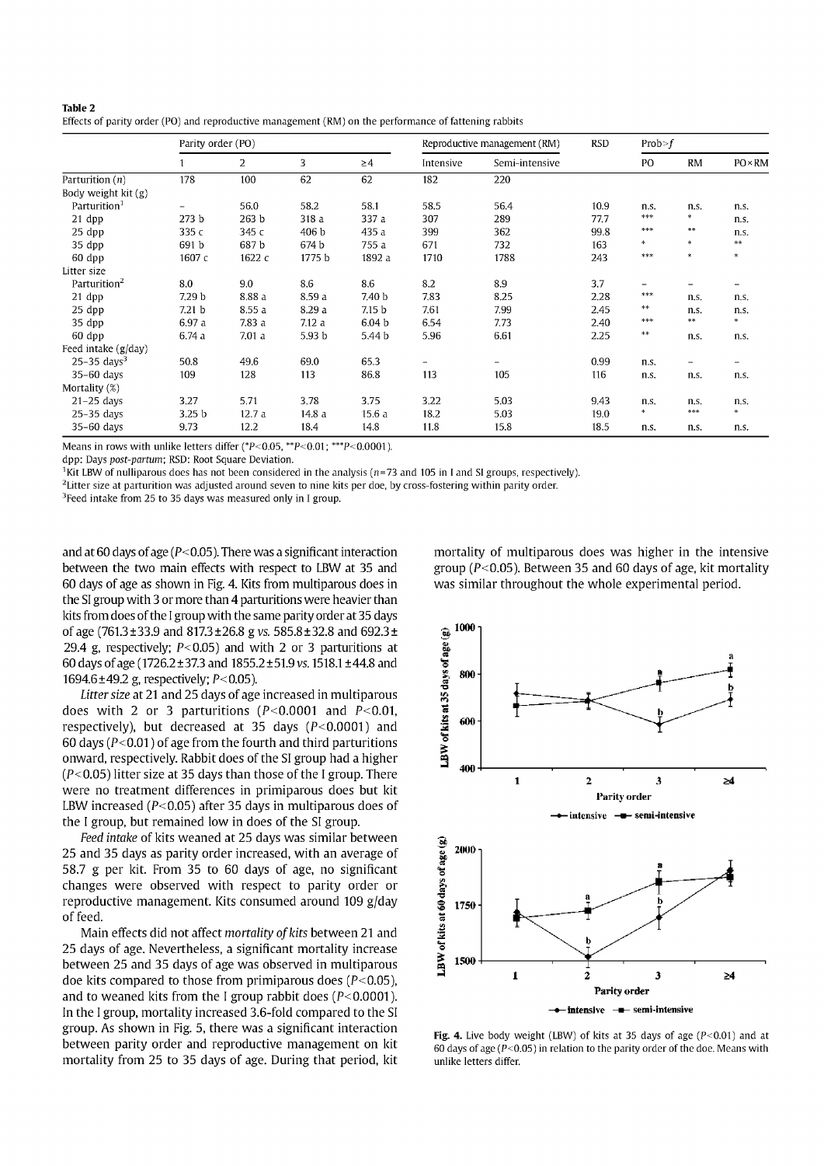| Table 2                                                                                               |  |
|-------------------------------------------------------------------------------------------------------|--|
| Effects of parity order (PO) and reproductive management (RM) on the performance of fattening rabbits |  |

|                           | Parity order (PO)        |                |        | Reproductive management (RM) |           | <b>RSD</b>     | Prob > f |                          |                                   |                |
|---------------------------|--------------------------|----------------|--------|------------------------------|-----------|----------------|----------|--------------------------|-----------------------------------|----------------|
|                           |                          | $\overline{2}$ | 3      | $\geq$ 4                     | Intensive | Semi-intensive |          | PO                       | <b>RM</b>                         | $PO \times RM$ |
| Parturition $(n)$         | 178                      | 100            | 62     | 62                           | 182       | 220            |          |                          |                                   |                |
| Body weight kit (g)       |                          |                |        |                              |           |                |          |                          |                                   |                |
| Parturition <sup>1</sup>  | $\overline{\phantom{a}}$ | 56.0           | 58.2   | 58.1                         | 58.5      | 56.4           | 10.9     | n.s.                     | n.s.                              | n.s.           |
| 21 dpp                    | 273 <sub>b</sub>         | 263 b          | 318 a  | 337 a                        | 307       | 289            | 77.7     | ***                      | $\frac{d\mathbf{r}}{d\mathbf{r}}$ | n.s.           |
| 25 dpp                    | 335c                     | 345 с          | 406 b  | 435 a                        | 399       | 362            | 99.8     | ***                      | $\approx 0$                       | n.s.           |
| 35 dpp                    | 691 b                    | 687b           | 674 b  | 755 a                        | 671       | 732            | 163      | ÷.                       | ÷.                                | **             |
| 60 dpp                    | 1607 с                   | 1622 c         | 1775 b | 1892 a                       | 1710      | 1788           | 243      | 米米米                      | 伞                                 | ÷              |
| Litter size               |                          |                |        |                              |           |                |          |                          |                                   |                |
| Parturition <sup>2</sup>  | 8.0                      | 9.0            | 8.6    | 8.6                          | 8.2       | 8.9            | 3.7      | $\overline{\phantom{0}}$ | -                                 |                |
| 21 dpp                    | 7.29 <sub>b</sub>        | 8.88 a         | 8.59 a | 7.40 b                       | 7.83      | 8.25           | 2.28     | ***                      | n.s.                              | n.s.           |
| $25$ dpp                  | 7.21 <sub>b</sub>        | 8.55 a         | 8.29 a | 7.15 <sub>b</sub>            | 7.61      | 7.99           | 2.45     | ola ola                  | n.s.                              | n.s.           |
| 35 dpp                    | 6.97 a                   | 7.83a          | 7.12a  | 6.04 <sub>b</sub>            | 6.54      | 7.73           | 2.40     | ***                      | $\approx 0$                       | *              |
| 60 dpp                    | 6.74a                    | 7.01a          | 5.93 b | 5.44 b                       | 5.96      | 6.61           | 2.25     | $\approx 10$             | n.s.                              | n.s.           |
| Feed intake (g/day)       |                          |                |        |                              |           |                |          |                          |                                   |                |
| $25-35$ days <sup>3</sup> | 50.8                     | 49.6           | 69.0   | 65.3                         | Ξ.        |                | 0.99     | n.s.                     | -                                 |                |
| $35-60$ days              | 109                      | 128            | 113    | 86.8                         | 113       | 105            | 116      | n.s.                     | n.s.                              | n.s.           |
| Mortality (%)             |                          |                |        |                              |           |                |          |                          |                                   |                |
| $21-25$ days              | 3.27                     | 5.71           | 3.78   | 3.75                         | 3.22      | 5.03           | 9.43     | n.s.                     | n <sub>s</sub>                    | n.s.           |
| $25-35$ days              | 3.25 <sub>b</sub>        | 12.7a          | 14.8 a | 15.6a                        | 18.2      | 5.03           | 19.0     | *                        | ***                               | $\ast$         |
| $35-60$ days              | 9.73                     | 12.2           | 18.4   | 14.8                         | 11.8      | 15.8           | 18.5     | n.s.                     | n.s.                              | n.s.           |

Means in rows with unlike letters differ ( $P$  < 0.05,  $*$  $P$  < 0.01;  $*$  $*$  $P$  < 0.0001).

dpp: Days *post-partum;* RSD: Root Square Deviation.

<sup>1</sup>Kit LBW of nulliparous does has not been considered in the analysis ( $n=73$  and 105 in I and SI groups, respectively).

<sup>2</sup>Litter size at parturition was adjusted around seven to nine kits per doe, by cross-fostering within parity order.

<sup>3</sup> Feed intake from 25 to 35 days was measured only in I group.

and at 60 days of age ( $P < 0.05$ ). There was a significant interaction between the two main effects with respect to LBW at 35 and 60 days of age as shown in Fig. 4. Kits from multiparous does in the SI group with 3 or more than 4 parturitions were heavier than kits from does of the I group with the same parity order at 35 days of age (761.3±33.9 and 817.3 ±26.8 g vs. 585.8±32.8 and 692.3± 29.4 g, respectively;  $P < 0.05$ ) and with 2 or 3 parturitions at 60 days of age (1726.2 ±37.3 and 1855.2 ± 51.9 vs. 1518.1 ±44.8 and 1694.6 $\pm$ 49.2 g, respectively; P<0.05).

*Litter size* at 21 and 25 days of age increased in multiparous does with 2 or 3 parturitions ( $P < 0.0001$  and  $P < 0.01$ , respectively), but decreased at 35 days  $(P<0.0001)$  and 60 days ( $P < 0.01$ ) of age from the fourth and third parturitions onward, respectively. Rabbit does of the SI group had a higher  $(P<0.05)$  litter size at 35 days than those of the I group. There were no treatment differences in primiparous does but kit LBW increased ( $P < 0.05$ ) after 35 days in multiparous does of the I group, but remained low in does of the SI group.

*Feed intake* of kits weaned at 25 days was similar between 25 and 35 days as parity order increased, with an average of 58.7 g per kit. From 35 to 60 days of age, no significant changes were observed with respect to parity order or reproductive management. Kits consumed around 109 g/day of feed.

Main effects did not affect mortality of kits between 21 and 25 days of age. Nevertheless, a significant mortality increase between 25 and 35 days of age was observed in multiparous doe kits compared to those from primiparous does  $(P<0.05)$ . and to weaned kits from the I group rabbit does ( $P < 0.0001$ ). In the I group, mortality increased 3.6-fold compared to the SI group. As shown in Fig. 5, there was a significant interaction between parity order and reproductive management on kit mortality from 25 to 35 days of age. During that period, kit

mortality of multiparous does was higher in the intensive group ( $P$ <0.05). Between 35 and 60 days of age, kit mortality was similar throughout the whole experimental period.



**Fig. 4.** Live body weight (LBW) of kits at 35 days of age  $(P<0.01)$  and at 60 days of age ( $P < 0.05$ ) in relation to the parity order of the doe. Means with unlike letters differ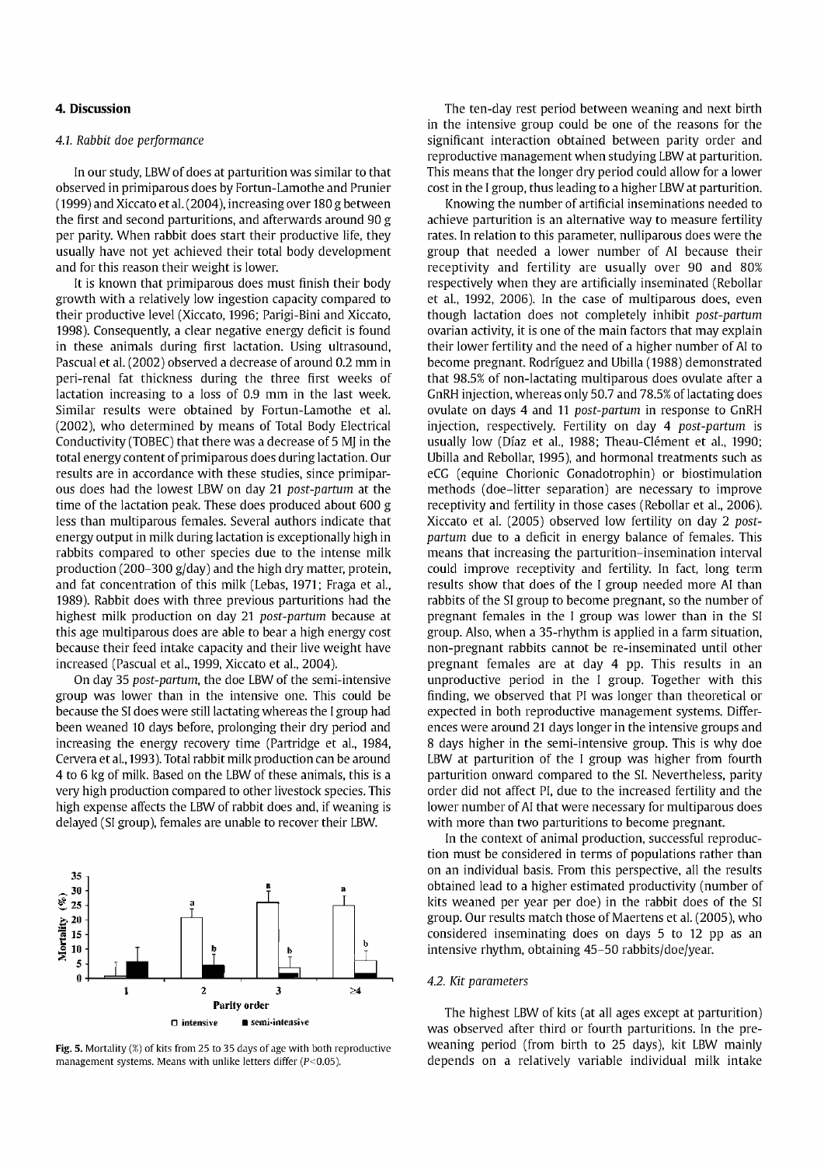## **4. Discussion**

### *4.1 Rabbit doe performance*

In our study, LBW of does at parturition was similar to that observed in primiparous does by Fortun-Lamothe and Prunier (1999) and Xiccato et al. (2004), increasing over 180 g between the first and second parturitions, and afterwards around 90 g per parity. When rabbit does start their productive life, they usually have not yet achieved their total body development and for this reason their weight is lower.

It is known that primiparous does must finish their body growth with a relatively low ingestión capacity compared to their productive level (Xiccato, 1996; Parigi-Bini and Xiccato, 1998). Consequently, a clear negative energy déficit is found in these animals during first lactation. Using ultrasound, Pascual et al. (2002) observed a decrease of around 0.2 mm in peri-renal fat thickness during the three first weeks of lactation increasing to a loss of 0.9 mm in the last week. Similar results were obtained by Fortun-Lamothe et al. (2002), who determined by means of Total Body Electrical Conductivity (TOBEC) that there was a decrease of 5 MJ in the total energy content of primiparous does during lactation. Our results are in accordance with these studies, since primiparous does had the lowest LBW on day 21 *post-partum* at the time of the lactation peak. These does produced about 600 g less than multiparous females. Several authors indícate that energy output in milk during lactation is exceptionally high in rabbits compared to other species due to the intense milk production (200-300 g/day) and the high dry matter, protein, and fat concentration of this milk (Lebas, 1971; Fraga et al., 1989). Rabbit does with three previous parturitions had the highest milk production on day 21 *post-partum* because at this age multiparous does are able to bear a high energy cost because their feed intake capacity and their live weight have increased (Pascual et al., 1999, Xiccato et al., 2004).

On day 35 *post-partum,* the doe LBW of the semi-intensive group was lower than in the intensive one. This could be because the SI does were still lactating whereas the I group had been weaned 10 days before, prolonging their dry period and increasing the energy recovery time (Partridge et al., 1984, Cervera et al., 1993). Total rabbit milk production can be around 4 to 6 kg of milk. Based on the LBW of these animals, this is a very high production compared to other livestock species. This high expense affects the LBW of rabbit does and, if weaning is delayed (SI group), females are unable to recover their LBW.



**Fig. 5.** Mortality (%) of kits from 25 to 35 days of age with both reproductive management systems. Means with unlike letters differ  $(P<0.05)$ .

The ten-day rest period between weaning and next birth in the intensive group could be one of the reasons for the significant interaction obtained between parity order and reproductive management when studying LBW at parturition. This means that the longer dry period could allow for a lower cost in the I group, thus leading to a higher LBWat parturition.

Knowing the number of artificial inseminations needed to achieve parturition is an alternative way to measure fertility rates. In relation to this parameter, nulliparous does were the group that needed a lower number of AI because their receptivity and fertility are usually over 90 and 80% respectively when they are artificially inseminated (Rebollar et al., 1992, 2006). In the case of multiparous does, even though lactation does not completely inhibit *post-partum*  ovarían activity, it is one of the main factors that may explain their lower fertility and the need of a higher number of AI to become pregnant. Rodríguez and Ubilla (1988) demonstrated that 98.5% of non-lactating multiparous does ovulate after a GnRH injection, whereas only 50.7 and 78.5% of lactating does ovulate on days 4 and 11 *post-partum* in response to GnRH injection, respectively. Fertility on day 4 *post-partum* is usually low (Díaz et al., 1988; Theau-Clément et al., 1990; Ubilla and Rebollar, 1995), and hormonal treatments such as eCG (equine Chorionic Gonadotrophin) or biostimulation methods (doe-litter separation) are necessary to improve receptivity and fertility in those cases (Rebollar et al., 2006). Xiccato et al. (2005) observed low fertility on day 2 *postpartum* due to a déficit in energy balance of females. This means that increasing the parturition-insemination interval could improve receptivity and fertility. In fact, long term results show that does of the I group needed more AI than rabbits of the SI group to become pregnant, so the number of pregnant females in the I group was lower than in the SI group. Also, when a 35-rhythm is applied in a farm situation, non-pregnant rabbits cannot be re-inseminated until other pregnant females are at day 4 pp. This results in an unproductive period in the I group. Together with this finding, we observed that PI was longer than theoretical or expected in both reproductive management systems. Differences were around 21 days longer in the intensive groups and 8 days higher in the semi-intensive group. This is why doe LBW at parturition of the I group was higher from fourth parturition onward compared to the SI. Nevertheless, parity order did not affect PI, due to the increased fertility and the of the find not affect PI, the to the increased fertinty and the<br>Isotop number of AI that were necessary for multiparaments as with more than two parturitions to become pregnant.

In the context of animal production, successful reproduction must be considered in terms of populations rather than on an individual basis. From this perspective, all the results obtained lead to a higher estimated productivity (number of kits weaned per year per doe) in the rabbit does of the SI group. Our results match those of Maertens et al. (2005), who considered inseminating does on days 5 to 12 pp as an intensive rhythm, obtaining 45-50 rabbits/doe/year.

## *4.2. Kit parameters*

The highest LBW of kits (at all ages except at parturition) was observed after third or fourth parturitions. In the preweaning period (from birth to 25 days), kit LBW mainly depends on a relatively variable individual milk intake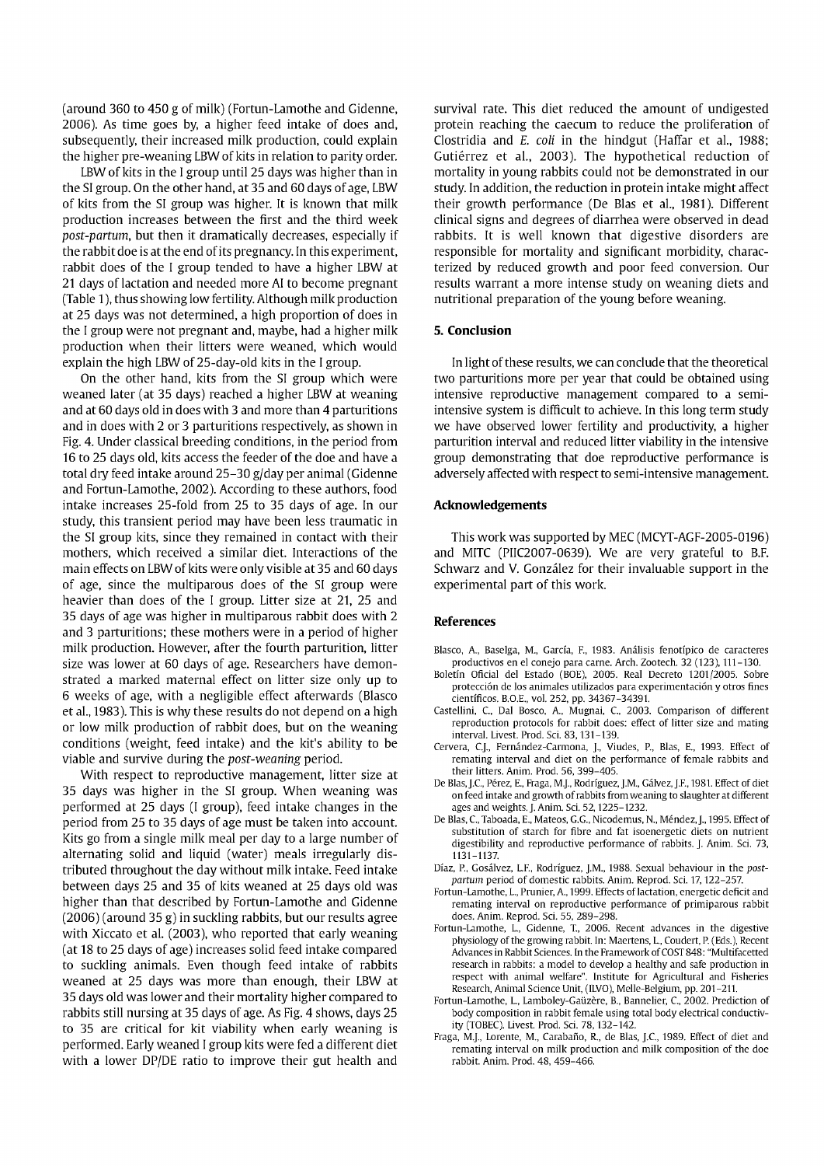(around 360 to 450 g of milk) (Fortun-Lamothe and Gidenne, 2006). As time goes by, a higher feed intake of does and, subsequently, their increased milk production, could explain the higher pre-weaning LBW of kits in relation to parity order.

LBW of kits in the I group until 25 days was higher than in the SI group. On the other hand, at 35 and 60 days of age, LBW of kits from the SI group was higher. It is known that milk production increases between the first and the third week *post-partum,* but then it dramatically decreases, especially if the rabbit doe is at the end of its pregnancy. In this experiment, rabbit does of the I group tended to have a higher LBW at 21 days of lactation and needed more AI to become pregnant (Table 1), thus showing low fertility. Although milk production at 25 days was not determined, a high proportion of does in the I group were not pregnant and, maybe, had a higher milk production when their litters were weaned, which would explain the high LBW of 25-day-old kits in the I group.

On the other hand, kits from the SI group which were weaned later (at 35 days) reached a higher LBW at weaning and at 60 days old in does with 3 and more than 4 parturitions and in does with 2 or 3 parturitions respectively, as shown in Fig. 4. Under classical breeding conditions, in the period from 16 to 25 days old, kits access the feeder of the doe and have a total dry feed intake around 25-30 g/day per animal (Gidenne and Fortun-Lamothe, 2002). According to these authors, food intake increases 25-fold from 25 to 35 days of age. In our study, this transient period may have been less traumatic in the SI group kits, since they remained in contact with their mothers, which received a similar diet. Interactions of the main effects on LBW of kits were only visible at 35 and 60 days of age, since the multiparous does of the SI group were heavier than does of the I group. Litter size at 21, 25 and 35 days of age was higher in multiparous rabbit does with 2 and 3 parturitions; these mothers were in a period of higher milk production. However, after the fourth parturition, litter size was lower at 60 days of age. Researchers have demonstrated a marked maternal effect on litter size only up to 6 weeks of age, with a negligible effect afterwards (Blasco et al., 1983). This is why these results do not depend on a high or low milk production of rabbit does, but on the weaning conditions (weight, feed intake) and the kit's ability to be viable and survive during the *post-weaning* period.

With respect to reproductive management, litter size at 35 days was higher in the SI group. When weaning was performed at 25 days (I group), feed intake changes in the period from 25 to 35 days of age must be taken into account. Kits go from a single milk meal per day to a large number of alternating solid and liquid (water) meals irregularly distributed throughout the day without milk intake. Feed intake between days 25 and 35 of kits weaned at 25 days old was higher than that described by Fortun-Lamothe and Gidenne (2006) (around 35 g) in suckling rabbits, but our results agree with Xiccato et al. (2003), who reported that early weaning (at 18 to 25 days of age) increases solid feed intake compared to suckling animals. Even though feed intake of rabbits weaned at 25 days was more than enough, their LBW at 35 days oíd was lower and their mortality higher compared to rabbits still nursing at 35 days of age. As Fig. 4 shows, days 25 to 35 are critical for kit viability when early weaning is performed. Early weaned I group kits were fed a different diet with a lower DP/DE ratio to improve their gut health and

survival rate. This diet reduced the amount of undigested protein reaching the caecum to reduce the proliferation of Clostridia and *E. coli* in the hindgut (Haffar et al., 1988; Gutiérrez et al., 2003). The hypothetical reduction of mortality in young rabbits could not be demonstrated in our study. In addition, the reduction in protein intake might affect their growth performance (De Blas et al., 1981). Different clinical signs and degrees of diarrhea were observed in dead rabbits. It is well known that digestive disorders are responsible for mortality and significant morbidity, characterized by reduced growth and poor feed conversion. Our results warrant a more intense study on weaning diets and nutritional preparation of the young before weaning.

#### **5. Conclusión**

In light of these results, we can conclude that the theoretical two parturitions more per year that could be obtained using intensive reproductive management compared to a semiintensive system is difficult to achieve. In this long term study we have observed lower fertility and productivity, a higher parturition interval and reduced litter viability in the intensive group demonstrating that doe reproductive performance is adversely affected with respect to semi-intensive management.

#### **Acknowledgements**

This work was supported by MEC (MCYT-AGF-2005-0196) and MITC (PIIC2007-0639). We are very grateful to B.F. Schwarz and V. González for their invaluable support in the experimental part of this work.

#### **References**

- Blasco, A., Baselga, M., García, R, 1983. Análisis fenotípico de caracteres productivos en el conejo para carne. Arch. Zootech. 32 (123), 111-130.
- Boletín Oficial del Estado (BOE), 2005. Real Decreto 1201/2005. Sobre protección de los animales utilizados para experimentación y otros fines científicos. B.O.E., vol. 252, pp. 34367-34391.
- Castellini, C, Dal Bosco, A., Mugnai, C, 2003. Comparison of different reproduction protocols for rabbit does: effect of litter size and mating interval. Livest. Prod. Sci. 83,131-139.
- Cervera, C.J., Fernández-Carmona, J., Viudes, R, Blas, E., 1993. Effect of remating interval and diet on the performance of female rabbits and their litters. Anim. Prod. 56, 399-405.
- De Blas.J.C, Pérez, E., Fraga, M.J., Rodríguez, J.M., Gálvez, J.F., 1981. Effect of diet on feed intake and growth of rabbits from weaning to slaughter at different ages and weights. J. Anim. Sci. 52,1225-1232.
- De Blas, C, Taboada, E., Mateos, G.G., Nicodemus, H, Méndez, J., 1995. Effect of substitution of starch for fibre and fat isoenergetic diets on nutrient digestibility and reproductive performance of rabbits. J. Anim. Sci. 73, 1131-1137.
- Díaz, R, Gosálvez, L.F., Rodríguez, J.M., 1988. Sexual behaviour in the *postpartum* period of domestic rabbits. Anim. Reprod. Sci. 17,122-257
- Fortun-Lamothe, L., Prunier, A., 1999. Effects of lactation, energetic déficit and remating interval on reproductive performance of primiparous rabbit does. Anim. Reprod. Sci. 55, 289-298.
- Fortun-Lamothe, L., Gidenne, T., 2006. Recent advances in the digestive physiology of the growing rabbit. In: Maertens, L, Coudert, R (Eds.), Recent Advances in Rabbit Sciences. In the Framework of COST 848: "Multifacetted research in rabbits: a model to develop a healthy and safe production in respect with animal welfare". Institute for Agricultural and Fisheries Research, Animal Science Unit, (1LVO), Melle-Belgium, pp. 201-211.
- Fortun-Lamothe, L, Lamboley-Gaüzére, B., Bannelier, C, 2002. Prediction of body composition in rabbit female using total body electrical conductivity (TOBEC). Livest. Prod. Sci. 78,132-142.
- Fraga, M.J., Lorente, M., Carabaño, R, de Blas, J.C, 1989. Effect of diet and remating interval on milk production and milk composition of the doe rabbit. Anim. Prod. 48, 459-466.